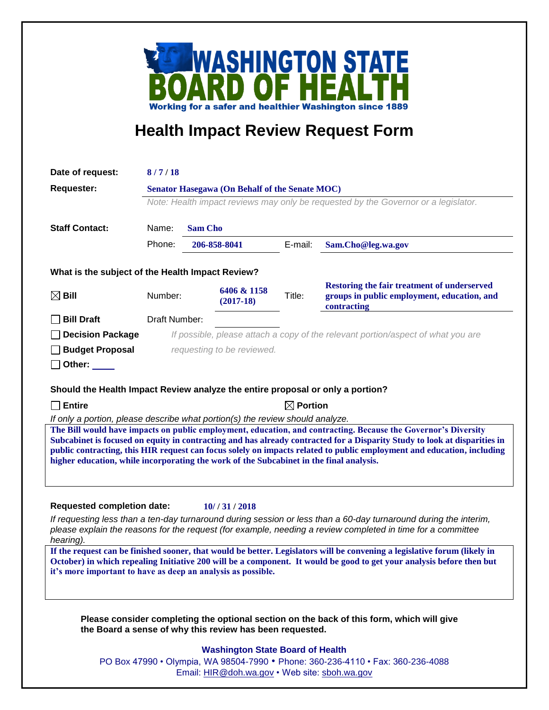

## **Health Impact Review Request Form**

| Date of request:                                                                                                                                                                                                  | 8/7/18                                                                                                                               |  |                                         |         |                                                                                                                           |
|-------------------------------------------------------------------------------------------------------------------------------------------------------------------------------------------------------------------|--------------------------------------------------------------------------------------------------------------------------------------|--|-----------------------------------------|---------|---------------------------------------------------------------------------------------------------------------------------|
| <b>Requester:</b>                                                                                                                                                                                                 | Senator Hasegawa (On Behalf of the Senate MOC)<br>Note: Health impact reviews may only be requested by the Governor or a legislator. |  |                                         |         |                                                                                                                           |
|                                                                                                                                                                                                                   |                                                                                                                                      |  |                                         |         |                                                                                                                           |
|                                                                                                                                                                                                                   |                                                                                                                                      |  |                                         |         |                                                                                                                           |
| <b>Staff Contact:</b>                                                                                                                                                                                             | Name:<br><b>Sam Cho</b><br>Phone:<br>206-858-8041                                                                                    |  |                                         |         |                                                                                                                           |
|                                                                                                                                                                                                                   |                                                                                                                                      |  |                                         | E-mail: | Sam.Cho@leg.wa.gov                                                                                                        |
| What is the subject of the Health Impact Review?                                                                                                                                                                  |                                                                                                                                      |  |                                         |         |                                                                                                                           |
| $\boxtimes$ Bill                                                                                                                                                                                                  | Number:                                                                                                                              |  | 6406 & 1158<br>$(2017-18)$              | Title:  | <b>Restoring the fair treatment of underserved</b><br>groups in public employment, education, and<br>contracting          |
| <b>Bill Draft</b>                                                                                                                                                                                                 | Draft Number:                                                                                                                        |  |                                         |         |                                                                                                                           |
| <b>Decision Package</b>                                                                                                                                                                                           | If possible, please attach a copy of the relevant portion/aspect of what you are                                                     |  |                                         |         |                                                                                                                           |
| <b>Budget Proposal</b>                                                                                                                                                                                            | requesting to be reviewed.                                                                                                           |  |                                         |         |                                                                                                                           |
| Other:                                                                                                                                                                                                            |                                                                                                                                      |  |                                         |         |                                                                                                                           |
|                                                                                                                                                                                                                   |                                                                                                                                      |  |                                         |         |                                                                                                                           |
| Should the Health Impact Review analyze the entire proposal or only a portion?                                                                                                                                    |                                                                                                                                      |  |                                         |         |                                                                                                                           |
| <b>Entire</b><br>$\blacksquare$                                                                                                                                                                                   | $\boxtimes$ Portion<br>If only a portion, please describe what portion(s) the review should analyze.                                 |  |                                         |         |                                                                                                                           |
|                                                                                                                                                                                                                   |                                                                                                                                      |  |                                         |         | The Bill would have impacts on public employment, education, and contracting. Because the Governor's Diversity            |
|                                                                                                                                                                                                                   |                                                                                                                                      |  |                                         |         | Subcabinet is focused on equity in contracting and has already contracted for a Disparity Study to look at disparities in |
| public contracting, this HIR request can focus solely on impacts related to public employment and education, including<br>higher education, while incorporating the work of the Subcabinet in the final analysis. |                                                                                                                                      |  |                                         |         |                                                                                                                           |
|                                                                                                                                                                                                                   |                                                                                                                                      |  |                                         |         |                                                                                                                           |
|                                                                                                                                                                                                                   |                                                                                                                                      |  |                                         |         |                                                                                                                           |
| <b>Requested completion date:</b>                                                                                                                                                                                 |                                                                                                                                      |  | 10//31/2018                             |         |                                                                                                                           |
|                                                                                                                                                                                                                   |                                                                                                                                      |  |                                         |         | If requesting less than a ten-day turnaround during session or less than a 60-day turnaround during the interim,          |
|                                                                                                                                                                                                                   |                                                                                                                                      |  |                                         |         | please explain the reasons for the request (for example, needing a review completed in time for a committee               |
| hearing).                                                                                                                                                                                                         |                                                                                                                                      |  |                                         |         | If the request can be finished sooner, that would be better. Legislators will be convening a legislative forum (likely in |
|                                                                                                                                                                                                                   |                                                                                                                                      |  |                                         |         | October) in which repealing Initiative 200 will be a component. It would be good to get your analysis before then but     |
| it's more important to have as deep an analysis as possible.                                                                                                                                                      |                                                                                                                                      |  |                                         |         |                                                                                                                           |
|                                                                                                                                                                                                                   |                                                                                                                                      |  |                                         |         |                                                                                                                           |
|                                                                                                                                                                                                                   |                                                                                                                                      |  |                                         |         |                                                                                                                           |
| the Board a sense of why this review has been requested.                                                                                                                                                          |                                                                                                                                      |  |                                         |         | Please consider completing the optional section on the back of this form, which will give                                 |
|                                                                                                                                                                                                                   |                                                                                                                                      |  |                                         |         |                                                                                                                           |
|                                                                                                                                                                                                                   |                                                                                                                                      |  | <b>Washington State Board of Health</b> |         |                                                                                                                           |

Email: [HIR@doh.wa.gov](mailto:HIR@doh.wa.gov) • Web site: [sboh.wa.gov](http://www.sboh.wa.gov/hdcouncil/)